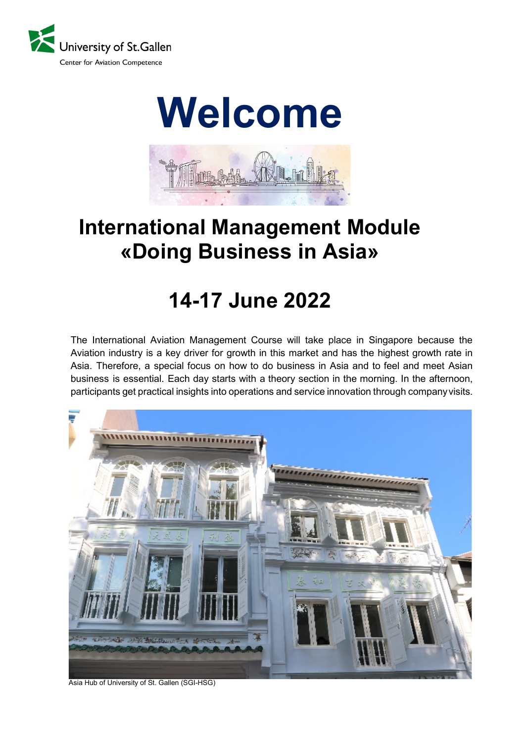



# **International Management Module «Doing Business in Asia»**

# **14-17 June 2022**

The International Aviation Management Course will take place in Singapore because the Aviation industry is a key driver for growth in this market and has the highest growth rate in Asia. Therefore, a special focus on how to do business in Asia and to feel and meet Asian business is essential. Each day starts with a theory section in the morning. In the afternoon, participants get practical insights into operations and service innovation through companyvisits.



Asia Hub of University of St. Gallen (SGI-HSG)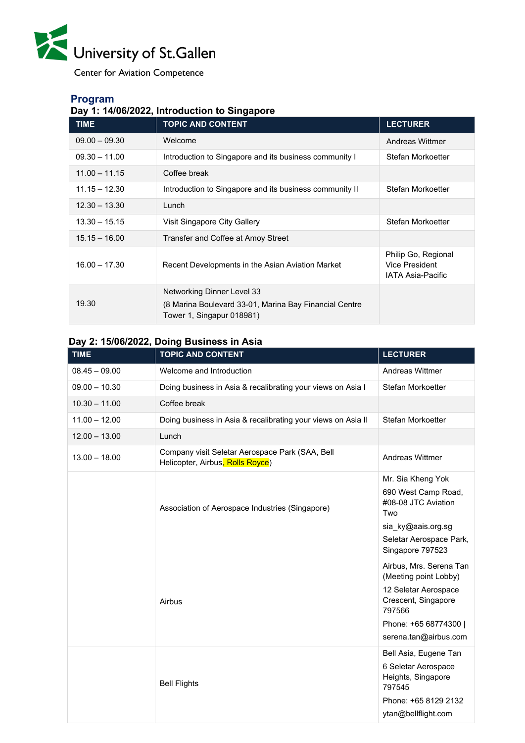

**Center for Aviation Competence** 

# **Program**

# **Day 1: 14/06/2022, Introduction to Singapore**

| <b>TIME</b>     | <b>TOPIC AND CONTENT</b>                                                                                          | <b>LECTURER</b>                                                   |
|-----------------|-------------------------------------------------------------------------------------------------------------------|-------------------------------------------------------------------|
| $09.00 - 09.30$ | Welcome                                                                                                           | Andreas Wittmer                                                   |
| $09.30 - 11.00$ | Introduction to Singapore and its business community I                                                            | Stefan Morkoetter                                                 |
| $11.00 - 11.15$ | Coffee break                                                                                                      |                                                                   |
| $11.15 - 12.30$ | Introduction to Singapore and its business community II                                                           | Stefan Morkoetter                                                 |
| $12.30 - 13.30$ | Lunch                                                                                                             |                                                                   |
| $13.30 - 15.15$ | Visit Singapore City Gallery                                                                                      | Stefan Morkoetter                                                 |
| $15.15 - 16.00$ | Transfer and Coffee at Amoy Street                                                                                |                                                                   |
| $16.00 - 17.30$ | Recent Developments in the Asian Aviation Market                                                                  | Philip Go, Regional<br>Vice President<br><b>IATA Asia-Pacific</b> |
| 19.30           | Networking Dinner Level 33<br>(8 Marina Boulevard 33-01, Marina Bay Financial Centre<br>Tower 1, Singapur 018981) |                                                                   |

# **Day 2: 15/06/2022, Doing Business in Asia**

| <b>TIME</b>     | <b>TOPIC AND CONTENT</b>                                                            | <b>LECTURER</b>                                                                                                                                             |
|-----------------|-------------------------------------------------------------------------------------|-------------------------------------------------------------------------------------------------------------------------------------------------------------|
| $08.45 - 09.00$ | Welcome and Introduction                                                            | <b>Andreas Wittmer</b>                                                                                                                                      |
| $09.00 - 10.30$ | Doing business in Asia & recalibrating your views on Asia I                         | Stefan Morkoetter                                                                                                                                           |
| $10.30 - 11.00$ | Coffee break                                                                        |                                                                                                                                                             |
| $11.00 - 12.00$ | Doing business in Asia & recalibrating your views on Asia II                        | Stefan Morkoetter                                                                                                                                           |
| $12.00 - 13.00$ | Lunch                                                                               |                                                                                                                                                             |
| $13.00 - 18.00$ | Company visit Seletar Aerospace Park (SAA, Bell<br>Helicopter, Airbus, Rolls Royce) | <b>Andreas Wittmer</b>                                                                                                                                      |
|                 | Association of Aerospace Industries (Singapore)                                     | Mr. Sia Kheng Yok<br>690 West Camp Road,<br>#08-08 JTC Aviation<br>Two<br>sia ky@aais.org.sg<br>Seletar Aerospace Park,<br>Singapore 797523                 |
|                 | Airbus                                                                              | Airbus, Mrs. Serena Tan<br>(Meeting point Lobby)<br>12 Seletar Aerospace<br>Crescent, Singapore<br>797566<br>Phone: +65 68774300  <br>serena.tan@airbus.com |
|                 | <b>Bell Flights</b>                                                                 | Bell Asia, Eugene Tan<br>6 Seletar Aerospace<br>Heights, Singapore<br>797545<br>Phone: +65 8129 2132<br>ytan@bellflight.com                                 |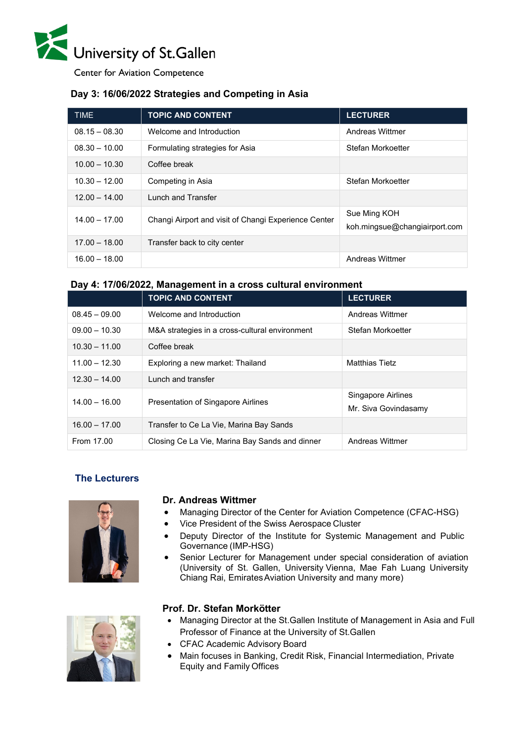

**Center for Aviation Competence** 

## **Day 3: 16/06/2022 Strategies and Competing in Asia**

| <b>TIME</b>     | <b>TOPIC AND CONTENT</b>                             | <b>LECTURER</b>                               |
|-----------------|------------------------------------------------------|-----------------------------------------------|
| $08.15 - 08.30$ | Welcome and Introduction                             | Andreas Wittmer                               |
| $08.30 - 10.00$ | Formulating strategies for Asia                      | Stefan Morkoetter                             |
| $10.00 - 10.30$ | Coffee break                                         |                                               |
| $10.30 - 12.00$ | Competing in Asia                                    | Stefan Morkoetter                             |
| $12.00 - 14.00$ | <b>Lunch and Transfer</b>                            |                                               |
| $14.00 - 17.00$ | Changi Airport and visit of Changi Experience Center | Sue Ming KOH<br>koh.mingsue@changiairport.com |
| $17.00 - 18.00$ | Transfer back to city center                         |                                               |
| $16.00 - 18.00$ |                                                      | Andreas Wittmer                               |

#### **Day 4: 17/06/2022, Management in a cross cultural environment**

|                 | <b>TOPIC AND CONTENT</b>                       | <b>LECTURER</b>                            |
|-----------------|------------------------------------------------|--------------------------------------------|
| $08.45 - 09.00$ | Welcome and Introduction                       | Andreas Wittmer                            |
| $09.00 - 10.30$ | M&A strategies in a cross-cultural environment | Stefan Morkoetter                          |
| $10.30 - 11.00$ | Coffee break                                   |                                            |
| $11.00 - 12.30$ | Exploring a new market: Thailand               | <b>Matthias Tietz</b>                      |
| $12.30 - 14.00$ | Lunch and transfer                             |                                            |
| $14.00 - 16.00$ | <b>Presentation of Singapore Airlines</b>      | Singapore Airlines<br>Mr. Siva Govindasamy |
| $16.00 - 17.00$ | Transfer to Ce La Vie, Marina Bay Sands        |                                            |
| From 17.00      | Closing Ce La Vie, Marina Bay Sands and dinner | Andreas Wittmer                            |

### **The Lecturers**



#### **Dr. Andreas Wittmer**

- Managing Director of the Center for Aviation Competence (CFAC-HSG)
- Vice President of the Swiss Aerospace Cluster
- Deputy Director of the Institute for Systemic Management and Public Governance (IMP-HSG)
- Senior Lecturer for Management under special consideration of aviation (University of St. Gallen, University Vienna, Mae Fah Luang University Chiang Rai, EmiratesAviation University and many more)



#### **Prof. Dr. Stefan Morkötter**

- Managing Director at the St.Gallen Institute of Management in Asia and Full Professor of Finance at the University of St.Gallen
- CFAC Academic Advisory Board
- Main focuses in Banking, Credit Risk, Financial Intermediation, Private Equity and Family Offices